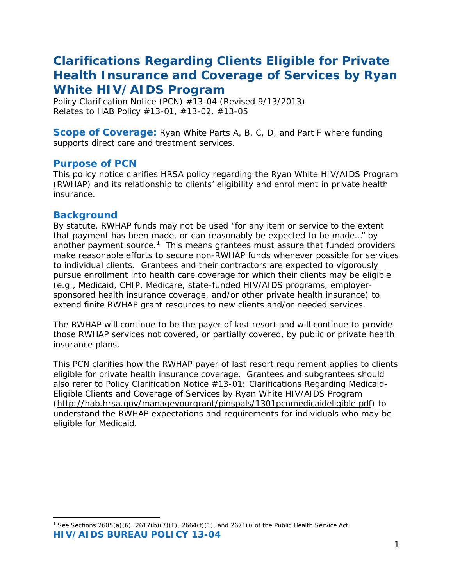# *Clarifications Regarding Clients Eligible for Private Health Insurance and Coverage of Services by Ryan White HIV/AIDS Program*

*Policy Clarification Notice (PCN) #13-04* (Revised 9/13/2013) *Relates to HAB Policy #13-01, #13-02, #13-05*

**Scope of Coverage:** Ryan White Parts A, B, C, D, and Part F where funding supports direct care and treatment services.

#### **Purpose of PCN**

This policy notice clarifies HRSA policy regarding the Ryan White HIV/AIDS Program (RWHAP) and its relationship to clients' eligibility and enrollment in private health insurance.

#### **Background**

By statute, RWHAP funds may not be used "for any item or service to the extent that payment has been made, or can reasonably be expected to be made…" by another payment source.<sup>[1](#page-0-0)</sup> This means grantees must assure that funded providers make reasonable efforts to secure non-RWHAP funds whenever possible for services to individual clients. Grantees and their contractors are expected to vigorously pursue enrollment into health care coverage for which their clients may be eligible (e.g., Medicaid, CHIP, Medicare, state-funded HIV/AIDS programs, employersponsored health insurance coverage, and/or other private health insurance) to extend finite RWHAP grant resources to new clients and/or needed services.

The RWHAP will continue to be the payer of last resort and will continue to provide those RWHAP services not covered, or partially covered, by public or private health insurance plans.

This PCN clarifies how the RWHAP payer of last resort requirement applies to clients eligible for private health insurance coverage. Grantees and subgrantees should also refer to *Policy Clarification Notice #13-01: Clarifications Regarding Medicaid-Eligible Clients and Coverage of Services by Ryan White HIV/AIDS Program*  [\(http://hab.hrsa.gov/manageyourgrant/pinspals/1301pcnmedicaideligible.pdf\)](http://hab.hrsa.gov/manageyourgrant/pinspals/1301pcnmedicaideligible.pdf) to understand the RWHAP expectations and requirements for individuals who may be eligible for Medicaid.

<span id="page-0-0"></span>**HIV/AIDS BUREAU POLICY 13-04** 1 <sup>1</sup> *See* Sections 2605(a)(6), 2617(b)(7)(F), 2664(f)(1), and 2671(i) of the Public Health Service Act.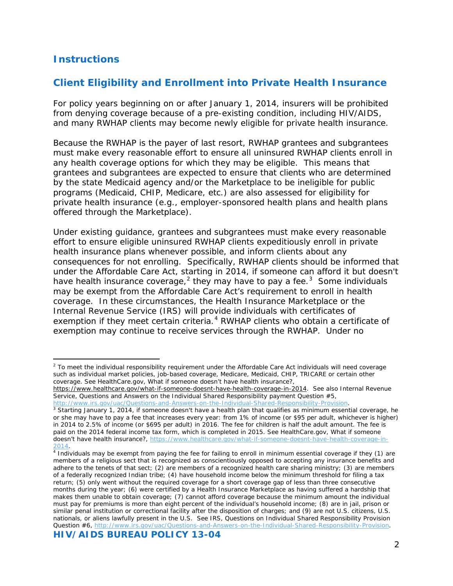# **Instructions**

1

# *Client Eligibility and Enrollment into Private Health Insurance*

For policy years beginning on or after January 1, 2014, insurers will be prohibited from denying coverage because of a pre-existing condition, including HIV/AIDS, and many RWHAP clients may become newly eligible for private health insurance.

Because the RWHAP is the payer of last resort, RWHAP grantees and subgrantees must make every reasonable effort to ensure all uninsured RWHAP clients enroll in any health coverage options for which they may be eligible. This means that grantees and subgrantees are expected to ensure that clients who are determined by the state Medicaid agency and/or the Marketplace to be ineligible for public programs (Medicaid, CHIP, Medicare, etc.) are also assessed for eligibility for private health insurance (e.g., employer-sponsored health plans and health plans offered through the Marketplace).

Under existing guidance, grantees and subgrantees must make every reasonable effort to ensure eligible uninsured RWHAP clients expeditiously enroll in private health insurance plans whenever possible, and inform clients about any consequences for not enrolling. Specifically, RWHAP clients should be informed that under the Affordable Care Act, starting in 2014, if someone can afford it but doesn't have health insurance coverage,<sup>[2](#page-1-0)</sup> they may have to pay a fee.<sup>[3](#page-1-1)</sup> Some individuals may be exempt from the Affordable Care Act's requirement to enroll in health coverage. In these circumstances, the Health Insurance Marketplace or the Internal Revenue Service (IRS) will provide individuals with certificates of exemption if they meet certain criteria.<sup>[4](#page-1-2)</sup> RWHAP clients who obtain a certificate of exemption may continue to receive services through the RWHAP. Under no

[http://www.irs.gov/uac/Questions-and-Answers-on-the-Individual-Shared-Responsibility-Provision.](http://www.irs.gov/uac/Questions-and-Answers-on-the-Individual-Shared-Responsibility-Provision)

<span id="page-1-0"></span> $2$  To meet the individual responsibility requirement under the Affordable Care Act individuals will need coverage such as individual market policies, job-based coverage, Medicare, Medicaid, CHIP, TRICARE or certain other coverage. *See* HealthCare.gov, What if someone doesn't have health insurance?,

[https://www.healthcare.gov/what-if-someone-doesnt-have-health-coverage-in-2014.](https://www.healthcare.gov/what-if-someone-doesnt-have-health-coverage-in-2014) *See also* Internal Revenue Service, Questions and Answers on the Individual Shared Responsibility payment Question #5,

<span id="page-1-1"></span> $3$  Starting January 1, 2014, if someone doesn't have a health plan that qualifies as minimum essential coverage, he or she may have to pay a fee that increases every year: from 1% of income (or \$95 per adult, whichever is higher) in 2014 to 2.5% of income (or \$695 per adult) in 2016. The fee for children is half the adult amount. The fee is paid on the 2014 federal income tax form, which is completed in 2015. *See* HealthCare.gov, What if someone doesn't have health insurance?, [https://www.healthcare.gov/what-if-someone-doesnt-have-health-coverage-in-](https://www.healthcare.gov/what-if-someone-doesnt-have-health-coverage-in-2014) $\frac{2014}{4}$ .<br><sup>4</sup> Individuals may be exempt from paying the fee for failing to enroll in minimum essential coverage if they (1) are

<span id="page-1-2"></span>members of a religious sect that is recognized as conscientiously opposed to accepting any insurance benefits and adhere to the tenets of that sect; (2) are members of a recognized health care sharing ministry; (3) are members of a federally recognized Indian tribe; (4) have household income below the minimum threshold for filing a tax return; (5) only went without the required coverage for a short coverage gap of less than three consecutive months during the year; (6) were certified by a Health Insurance Marketplace as having suffered a hardship that makes them unable to obtain coverage; (7) cannot afford coverage because the minimum amount the individual must pay for premiums is more than eight percent of the individual's household income; (8) are in jail, prison or similar penal institution or correctional facility after the disposition of charges; and (9) are not U.S. citizens, U.S. nationals, or aliens lawfully present in the U.S. *See* IRS, Questions on Individual Shared Responsibility Provision Question #6[, http://www.irs.gov/uac/Questions-and-Answers-on-the-Individual-Shared-Responsibility-Provision.](http://www.irs.gov/uac/Questions-and-Answers-on-the-Individual-Shared-Responsibility-Provision)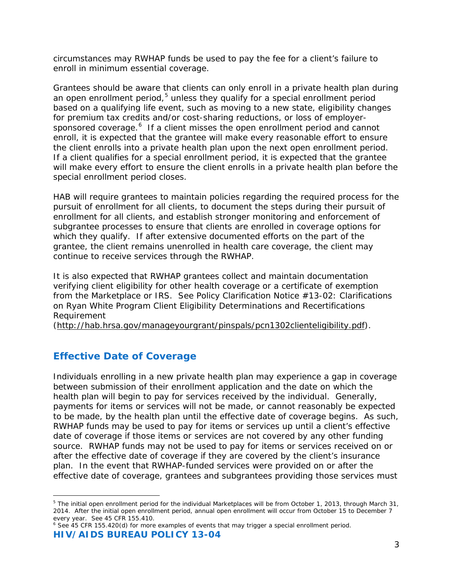circumstances may RWHAP funds be used to pay the fee for a client's failure to enroll in minimum essential coverage.

Grantees should be aware that clients can only enroll in a private health plan during an open enrollment period, $5$  unless they qualify for a special enrollment period based on a qualifying life event, such as moving to a new state, eligibility changes for premium tax credits and/or cost-sharing reductions, or loss of employer-sponsored coverage.<sup>[6](#page-2-1)</sup> If a client misses the open enrollment period and cannot enroll, it is expected that the grantee will make every reasonable effort to ensure the client enrolls into a private health plan upon the next open enrollment period. If a client qualifies for a special enrollment period, it is expected that the grantee will make every effort to ensure the client enrolls in a private health plan before the special enrollment period closes.

HAB will require grantees to maintain policies regarding the required process for the pursuit of enrollment for all clients, to document the steps during their pursuit of enrollment for all clients, and establish stronger monitoring and enforcement of subgrantee processes to ensure that clients are enrolled in coverage options for which they qualify. If after extensive documented efforts on the part of the grantee, the client remains unenrolled in health care coverage, the client may continue to receive services through the RWHAP.

It is also expected that RWHAP grantees collect and maintain documentation verifying client eligibility for other health coverage or a certificate of exemption from the Marketplace or IRS. *See Policy Clarification Notice #13-02: Clarifications on Ryan White Program Client Eligibility Determinations and Recertifications Requirement*

[\(http://hab.hrsa.gov/manageyourgrant/pinspals/pcn1302clienteligibility.pdf\)](http://hab.hrsa.gov/manageyourgrant/pinspals/pcn1302clienteligibility.pdf).

#### *Effective Date of Coverage*

Individuals enrolling in a new private health plan may experience a gap in coverage between submission of their enrollment application and the date on which the health plan will begin to pay for services received by the individual. Generally, payments for items or services will not be made, or cannot reasonably be expected to be made, by the health plan until the effective date of coverage begins. As such, RWHAP funds may be used to pay for items or services up until a client's effective date of coverage if those items or services are not covered by any other funding source. RWHAP funds may not be used to pay for items or services received on or after the effective date of coverage if they are covered by the client's insurance plan. In the event that RWHAP-funded services were provided on or after the effective date of coverage, grantees and subgrantees providing those services must

<span id="page-2-0"></span>l <sup>5</sup> The initial open enrollment period for the individual Marketplaces will be from October 1, 2013, through March 31, 2014. After the initial open enrollment period, annual open enrollment will occur from October 15 to December 7 every year. *See* 45 CFR 155.410.

<span id="page-2-1"></span>**HIV/AIDS BUREAU POLICY 13-04** <sup>6</sup> *See* 45 CFR 155.420(d) for more examples of events that may trigger a special enrollment period.